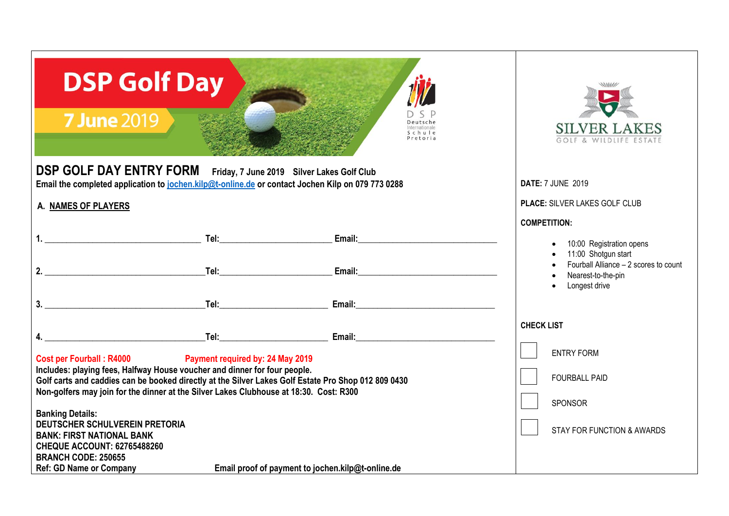| <b>DSP Golf Day</b><br><b>7 June 2019</b><br>Deutsche<br>Schule<br>Pretoria                                                                                                                                                                                                                                                                                                                                                                                                                                                                                                                                                                                                                                                                                                                                                                                                                                                                                                                                                                                             | <b>SILVER LAKES</b><br>WILDLIFE                                                                                                                        |
|-------------------------------------------------------------------------------------------------------------------------------------------------------------------------------------------------------------------------------------------------------------------------------------------------------------------------------------------------------------------------------------------------------------------------------------------------------------------------------------------------------------------------------------------------------------------------------------------------------------------------------------------------------------------------------------------------------------------------------------------------------------------------------------------------------------------------------------------------------------------------------------------------------------------------------------------------------------------------------------------------------------------------------------------------------------------------|--------------------------------------------------------------------------------------------------------------------------------------------------------|
| <b>DSP GOLF DAY ENTRY FORM</b><br>Friday, 7 June 2019 Silver Lakes Golf Club<br>Email the completed application to jochen.kilp@t-online.de or contact Jochen Kilp on 079 773 0288                                                                                                                                                                                                                                                                                                                                                                                                                                                                                                                                                                                                                                                                                                                                                                                                                                                                                       | <b>DATE: 7 JUNE 2019</b>                                                                                                                               |
| A. NAMES OF PLAYERS                                                                                                                                                                                                                                                                                                                                                                                                                                                                                                                                                                                                                                                                                                                                                                                                                                                                                                                                                                                                                                                     | PLACE: SILVER LAKES GOLF CLUB                                                                                                                          |
| Email: Email: Email: Email: Email: Email: Email: Email: Email: Email: Email: Email: Email: Email: Email: Email: Email: Email: Email: Email: Email: Email: Email: Email: Email: Email: Email: Email: Email: Email: Email: Email<br>2.<br>Email: Email: Email: Email: Email: Email: Email: Email: Email: Email: Email: Email: Email: Email: Email: Email: Email: Email: Email: Email: Email: Email: Email: Email: Email: Email: Email: Email: Email: Email: Email: Email<br>Tel: Album and the contract of the contract of the contract of the contract of the contract of the contract of<br>3.<br><b>Tel:</b> The contract of the contract of the contract of the contract of the contract of the contract of the contract of the contract of the contract of the contract of the contract of the contract of the contract of the con<br>Email: Email: Email: Email: Email: Email: Email: Email: Email: Email: Email: Email: Email: Email: Email: Email: Email: Email: Email: Email: Email: Email: Email: Email: Email: Email: Email: Email: Email: Email: Email: Email | <b>COMPETITION:</b><br>10:00 Registration opens<br>11:00 Shotgun start<br>Fourball Alliance - 2 scores to count<br>Nearest-to-the-pin<br>Longest drive |
| <u>and the set of the set of the set of the set of the set of the set of the set of the set of the set of the set of the set of the set of the set of the set of the set of the set of the set of the set of the set of the set </u><br>Email: Email: Email: Email: Email: Email: Email: Email: Email: Email: Email: Email: Email: Email: Email: Email: Email: Email: Email: Email: Email: Email: Email: Email: Email: Email: Email: Email: Email: Email: Email: Email                                                                                                                                                                                                                                                                                                                                                                                                                                                                                                                                                                                                  | <b>CHECK LIST</b>                                                                                                                                      |
| <b>Cost per Fourball: R4000</b><br><b>Payment required by: 24 May 2019</b><br>Includes: playing fees, Halfway House voucher and dinner for four people.<br>Golf carts and caddies can be booked directly at the Silver Lakes Golf Estate Pro Shop 012 809 0430<br>Non-golfers may join for the dinner at the Silver Lakes Clubhouse at 18:30. Cost: R300<br><b>Banking Details:</b><br><b>DEUTSCHER SCHULVEREIN PRETORIA</b><br><b>BANK: FIRST NATIONAL BANK</b><br><b>CHEQUE ACCOUNT: 62765488260</b><br><b>BRANCH CODE: 250655</b><br><b>Ref: GD Name or Company</b><br>Email proof of payment to jochen.kilp@t-online.de                                                                                                                                                                                                                                                                                                                                                                                                                                             | <b>ENTRY FORM</b><br><b>FOURBALL PAID</b><br>SPONSOR<br><b>STAY FOR FUNCTION &amp; AWARDS</b>                                                          |